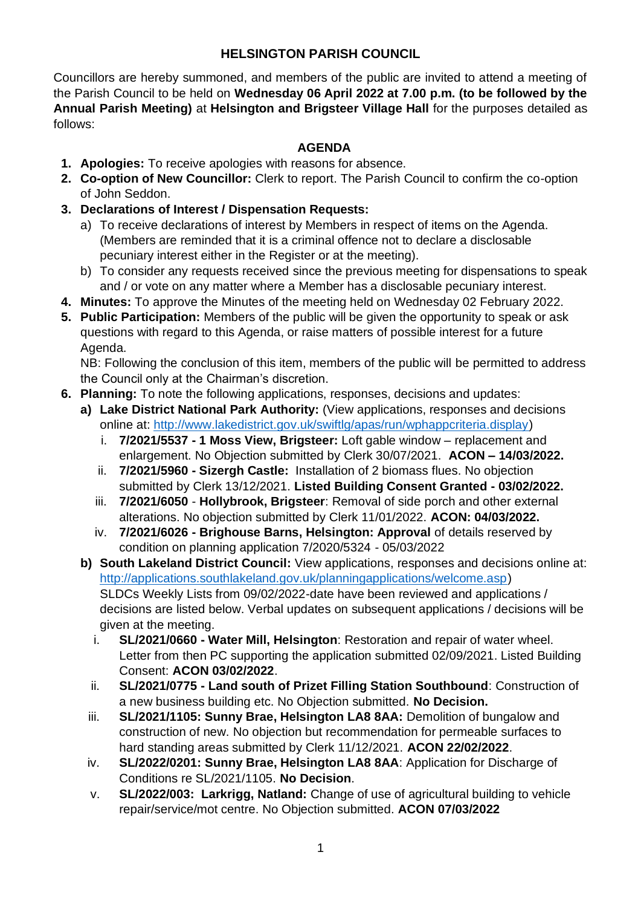#### **HELSINGTON PARISH COUNCIL**

Councillors are hereby summoned, and members of the public are invited to attend a meeting of the Parish Council to be held on **Wednesday 06 April 2022 at 7.00 p.m. (to be followed by the Annual Parish Meeting)** at **Helsington and Brigsteer Village Hall** for the purposes detailed as follows:

#### **AGENDA**

- **1. Apologies:** To receive apologies with reasons for absence.
- **2. Co-option of New Councillor:** Clerk to report. The Parish Council to confirm the co-option of John Seddon.
- **3. Declarations of Interest / Dispensation Requests:**
	- a) To receive declarations of interest by Members in respect of items on the Agenda. (Members are reminded that it is a criminal offence not to declare a disclosable pecuniary interest either in the Register or at the meeting).
	- b) To consider any requests received since the previous meeting for dispensations to speak and / or vote on any matter where a Member has a disclosable pecuniary interest.
- **4. Minutes:** To approve the Minutes of the meeting held on Wednesday 02 February 2022.
- **5. Public Participation:** Members of the public will be given the opportunity to speak or ask questions with regard to this Agenda, or raise matters of possible interest for a future Agenda.

NB: Following the conclusion of this item, members of the public will be permitted to address the Council only at the Chairman's discretion.

- **6. Planning:** To note the following applications, responses, decisions and updates:
	- **a) Lake District National Park Authority:** (View applications, responses and decisions online at: [http://www.lakedistrict.gov.uk/swiftlg/apas/run/wphappcriteria.display\)](http://www.lakedistrict.gov.uk/swiftlg/apas/run/wphappcriteria.display)
		- i. **7/2021/5537 - 1 Moss View, Brigsteer:** Loft gable window replacement and enlargement. No Objection submitted by Clerk 30/07/2021. **ACON – 14/03/2022.**
		- ii. **7/2021/5960 - Sizergh Castle:** Installation of 2 biomass flues. No objection submitted by Clerk 13/12/2021. **Listed Building Consent Granted - 03/02/2022.**
		- iii. **7/2021/6050 Hollybrook, Brigsteer**: Removal of side porch and other external alterations. No objection submitted by Clerk 11/01/2022. **ACON: 04/03/2022.**
		- iv. **7/2021/6026 Brighouse Barns, Helsington: Approval** of details reserved by condition on planning application 7/2020/5324 - 05/03/2022
	- **b) South Lakeland District Council:** View applications, responses and decisions online at: [http://applications.southlakeland.gov.uk/planningapplications/welcome.asp\)](http://applications.southlakeland.gov.uk/planningapplications/welcome.asp) SLDCs Weekly Lists from 09/02/2022-date have been reviewed and applications / decisions are listed below. Verbal updates on subsequent applications / decisions will be given at the meeting.
		- i. **SL/2021/0660 - Water Mill, Helsington**: Restoration and repair of water wheel. Letter from then PC supporting the application submitted 02/09/2021. Listed Building Consent: **ACON 03/02/2022**.
		- ii. **SL/2021/0775 - Land south of Prizet Filling Station Southbound**: Construction of a new business building etc. No Objection submitted. **No Decision.**
		- iii. **SL/2021/1105: Sunny Brae, Helsington LA8 8AA:** Demolition of bungalow and construction of new. No objection but recommendation for permeable surfaces to hard standing areas submitted by Clerk 11/12/2021. **ACON 22/02/2022**.
		- iv. **SL/2022/0201: Sunny Brae, Helsington LA8 8AA**: Application for Discharge of Conditions re SL/2021/1105. **No Decision**.
		- v. **SL/2022/003: Larkrigg, Natland:** Change of use of agricultural building to vehicle repair/service/mot centre. No Objection submitted. **ACON 07/03/2022**